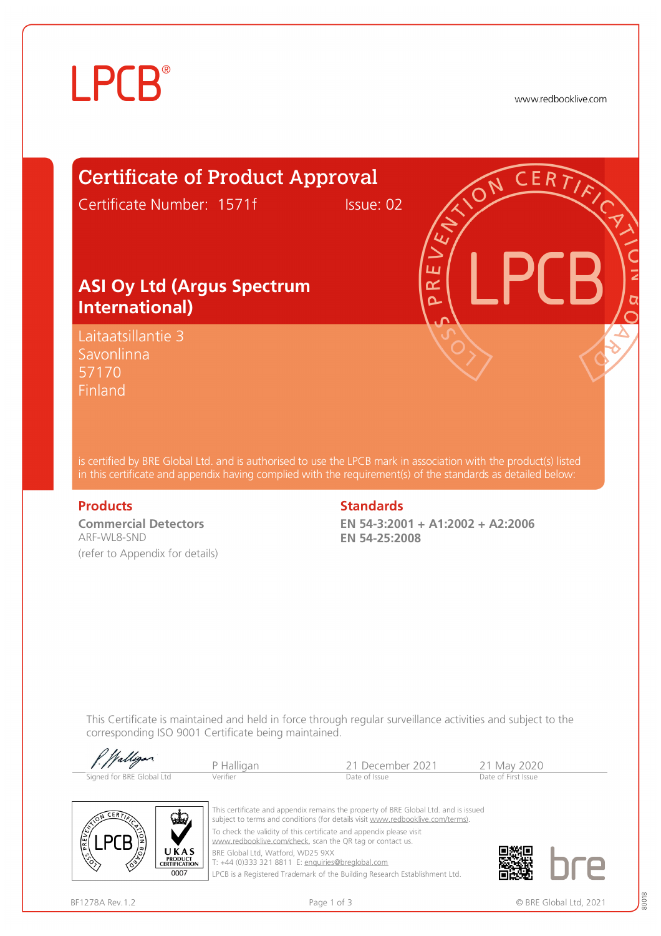

www.redbooklive.com

# Certificate of Product Approval

Certificate Number: 1571f Issue: 02

### **ASI Oy Ltd (Argus Spectrum International)**

Laitaatsillantie 3 Savonlinna 57170 **Finland** 

is certified by BRE Global Ltd. and is authorised to use the LPCB mark in association with the product(s) listed in this certificate and appendix having complied with the requirement(s) of the standards as detailed below:

**Commercial Detectors**  ARF-WL8-SND (refer to Appendix for details)

#### **Products Standards**

**EN 54-3:2001 + A1:2002 + A2:2006 EN 54-25:2008** 

ய œ Ò

This Certificate is maintained and held in force through regular surveillance activities and subject to the corresponding ISO 9001 Certificate being maintained.

| P. Walligan               | P Halligan | -21 December 2021 | 21 May 2020         |
|---------------------------|------------|-------------------|---------------------|
| Signed for BRE Global Ltd | Verifier   | Date of Issue     | Date of First Issue |



This certificate and appendix remains the property of BRE Global Ltd. and is issued subject to terms and conditions (for details visit [www.redbooklive.com/terms\)](http://www.redbooklive.com/terms)). To check the validity of this certificate and appendix please visit [www.redbooklive.com/check,](http://www.redbooklive.com/check) scan the QR tag or contact us. BRE Global Ltd, Watford, WD25 9XX

T: +44 (0)333 321 8811 E: [enquiries@breglobal.com](mailto:enquiries@breglobal.com)

LPCB is a Registered Trademark of the Building Research Establishment Ltd.

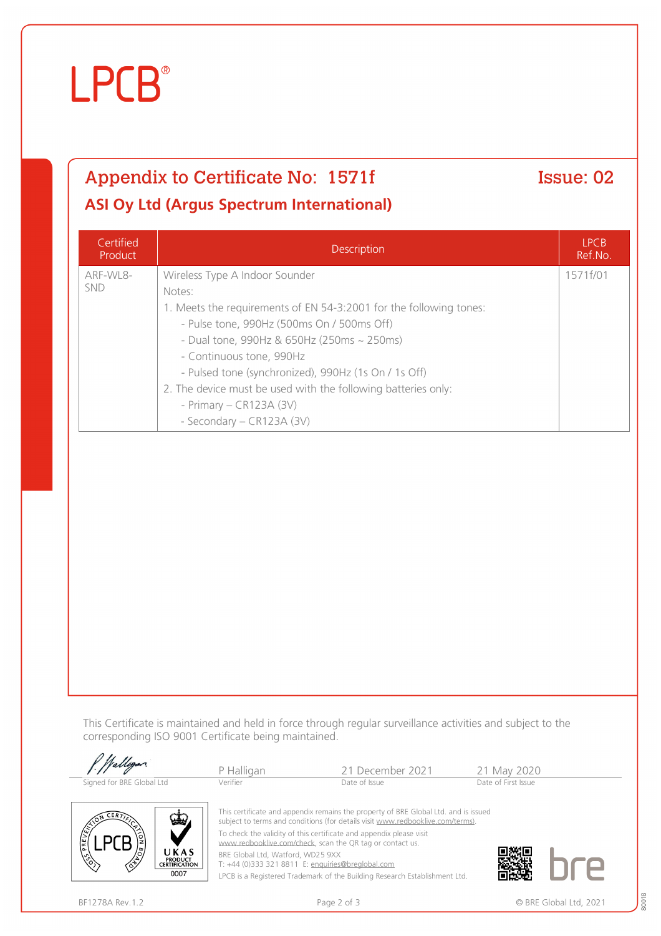# **LPCB**®

# Appendix to Certificate No: 1571f Issue: 02 **ASI Oy Ltd (Argus Spectrum International)**

**Certified** Product Description LPCB Ref.No. ARF-WL8- SND Wireless Type A Indoor Sounder Notes: 1. Meets the requirements of EN 54-3:2001 for the following tones: - Pulse tone, 990Hz (500ms On / 500ms Off) - Dual tone, 990Hz & 650Hz (250ms ~ 250ms) - Continuous tone, 990Hz - Pulsed tone (synchronized), 990Hz (1s On / 1s Off) 2. The device must be used with the following batteries only: - Primary – CR123A (3V) - Secondary – CR123A (3V) 1571f/01

This Certificate is maintained and held in force through regular surveillance activities and subject to the corresponding ISO 9001 Certificate being maintained.

| Walligan.                                                                                                                                                                            | P Halligan | 21 December 2021 | 21 May 2020         |
|--------------------------------------------------------------------------------------------------------------------------------------------------------------------------------------|------------|------------------|---------------------|
| Signed for BRE Global Ltd                                                                                                                                                            | Verifier   | Date of Issue    | Date of First Issue |
| This certificate and appendix remains the property of BRE Global Ltd. and is issued<br><b>VELY</b><br>subject to terms and conditions (for details visit www.redbooklive.com/terms). |            |                  |                     |



T: +44 (0)333 321 8811 E: [enquiries@breglobal.com](mailto:enquiries@breglobal.com)

LPCB is a Registered Trademark of the Building Research Establishment Ltd.



**LPCB** 

UKAS **PRODUCT<br>CERTIFICATION**  $0007$ 

80018